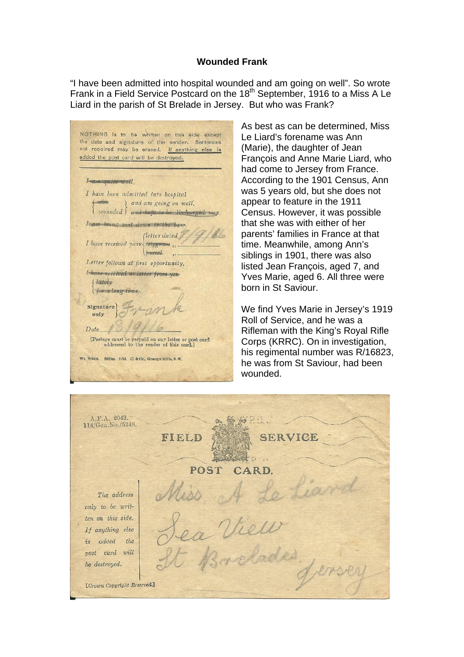## **Wounded Frank**

"I have been admitted into hospital wounded and am going on well". So wrote Frank in a Field Service Postcard on the 18<sup>th</sup> September, 1916 to a Miss A Le Liard in the parish of St Brelade in Jersey. But who was Frank?

NOTHING is to be written on this side except the date and signature of the sender. Sentences not required may be erased. If anything else is added the post card will be destroyed. I amazuite well. I have been admitted into hospital ( sick and am going on well. wounded and hope to be discharged soon. I am boing sent down to the base (letter dated) I have received your telegram ... bareel. Letter follows at first opportunity. I have received no letter from you (lately for a long time Signature only Date [Postage must be prepaid on any letter or post card<br>addressed to the sender of this card.] Wt. W4434. 6000m. 8/16. C. & Co., Grange Mills, S.W.

As best as can be determined, Miss Le Liard's forename was Ann (Marie), the daughter of Jean François and Anne Marie Liard, who had come to Jersey from France. According to the 1901 Census, Ann was 5 years old, but she does not appear to feature in the 1911 Census. However, it was possible that she was with either of her parents' families in France at that time. Meanwhile, among Ann's siblings in 1901, there was also listed Jean François, aged 7, and Yves Marie, aged 6. All three were born in St Saviour.

We find Yves Marie in Jersey's 1919 Roll of Service, and he was a Rifleman with the King's Royal Rifle Corps (KRRC). On in investigation, his regimental number was R/16823, he was from St Saviour, had been wounded.

A.F.A. 2042. 114/Gen. No./5248. FIELD SER POST The address only to be written on this side. If anything else is added the post card will be destroyed. [Crown Copyright Reserved.]